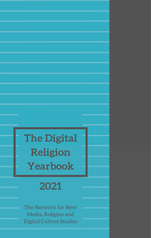# **The Digital Religion** Yearbook

## 2021

The Network for New Media, Religion and **Digital Culture Studies**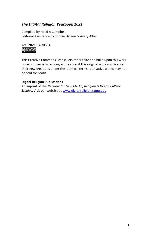### *The Digital Religion Yearbook 2021*

Compiled by Heidi A Campbell Editorial Assistance by Sophia Osteen & Avery Alban



This Creative Commons license lets others cite and build upon this work non-commercially, as long as they credit this original work and license their new creations under the identical terms. Derivative works may not be sold for profit.

#### **Digital Religion Publications**

An Imprint of the *Network for New Media, Religion & Digital Culture Studie*s. Visit our website at [www.digitalreligion.tamu.edu](http://www.digitalreligion.tamu.edu/)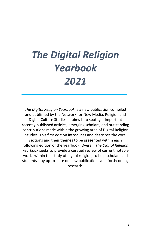## *The Digital Religion Yearbook 2021*

*The Digital Religion Yearbook* is a new publication compiled and published by the Network for New Media, Religion and Digital Culture Studies. It aims is to spotlight important recently published articles, emerging scholars, and outstanding contributions made within the growing area of Digital Religion Studies. This first edition introduces and describes the core sections and their themes to be presented within each following edition of the yearbook. Overall, *The Digital Religion Yearbook* seeks to provide a curated review of current notable works within the study of digital religion, to help scholars and students stay up-to-date on new publications and forthcoming research.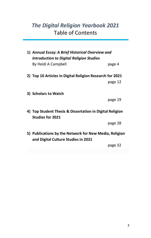## *The Digital Religion Yearbook 2021* Table of Contents

| 1) Annual Essay: A Brief Historical Overview and<br><b>Introduction to Digital Religion Studies</b> |         |
|-----------------------------------------------------------------------------------------------------|---------|
| By Heidi A Campbell                                                                                 | page 4  |
| 2) Top 10 Articles in Digital Religion Research for 2021                                            |         |
|                                                                                                     | page 12 |
| 3) Scholars to Watch                                                                                |         |
|                                                                                                     | page 19 |
| 4) Top Student Thesis & Dissertation in Digital Religion<br><b>Studies for 2021</b>                 |         |
|                                                                                                     | page 28 |
| 5) Publications by the Network for New Media, Religion<br>and Digital Culture Studies in 2021       |         |
|                                                                                                     | page 32 |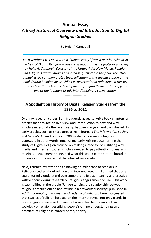## **Annual Essay** *A Brief Historical Overview and Introduction to Digital Religion Studies*

By Heidi A Campbell

*Each yearbook will open with a "annual essay" from a notable scholar in the field of Digital Religion Studies. This inaugural issue features an essay by Heidi A. Campbell, Director of the Network for New Media, Religion and Digital Culture Studies and a leading scholar in the field. This 2021 annual essay commemorates the publication of the second edition of the book Digital Religion by providing a conversational reflection on the key moments within scholarly development of Digital Religion studies, from one of the founders of this interdisciplinary conversation.*

*-------------------*

### **A Spotlight on History of Digital Religion Studies from the 1995 to 2021**

Over my research career, I am frequently asked to write book chapters or articles that provide an overview and introduction to how and why scholars investigate the relationship between religion and the internet. In early articles, such as those appearing in journals *The Information Society*  and *New Media and Society* in 2005 initially took an apologetics approach. In other words, most of my early writing documenting the study of Digital Religion focused on making a case for or justifying why media and internet studies scholars needed to pay attention to analysis religious engagement online, and what this could contribute to broader discourses of the impact of the internet on society.

Next, I turned my attention to making a similar case to scholars in Religious studies about religion and internet research. I argued that one could not fully understand contemporary religious meaning and practice without considering research on religious engagement online. This work is exemplified in the article "Understanding the relationship between religious practice online and offline in a networked society" published in 2012 in *Journal of the American Academy of Religion.* Here I suggested that studies of religion focused on the internet reveal not only trends in how religion is perceived online, but also echo the findings within sociology of religion describing people's offline understandings and practices of religion in contemporary society.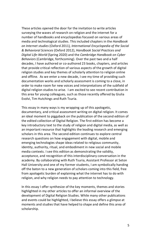These articles opened the door for the invitation to write articles surveying the waves of research on religion and the internet for a number of handbooks and encyclopedias focused on various areas of media and technological studies. This included chapters in the *Handbook on Internet studies* (Oxford 2011)*, International Encyclopedia of the Social & Behavioral Sciences* (Oxford 2012), *Handbook Social Practices and Digital Life-World* (Spring 2020) and the *Cambridge Handbook on Cyber Behaviors* (Cambridge, forthcoming). Over the past two and a half decades, I have authored or co-authored 23 books, chapters, and articles that provide critical reflection of various aspects of the growth of digital religion studies and key themes of scholarly attention to religion online and offline. As we enter a new decade, I see my time of providing such documentation works and scholarly assessment is coming to a close, in order to make room for new voices and interpretations of the subfield of digital religion studies to arise. I am excited to see recent contribution in this area for young colleagues, such as those recently offered by Giulia Evolvi, Tim Hutchings and Ruth Tsuria.

This essay in many ways is my wrapping up of this apologetic, documentary, and critical assessment writing on digital religion. It comes an ideal moment to piggyback on the publication of the second edition of the edited collection of Digital Religion. The first edition has become a key introductory text to the study of religion and digital media, as well as an important resource that highlights the leading research and emerging scholars in this area. The second edition continues to explore central research questions on how engagement with digital, mobile and emerging technologies shape ideas related to religious community, identity, authority, ritual, and embodiment in new social and mobile media contexts. I see this edition as demonstrating the validity, acceptance, and recognition of this interdisciplinary conversation in the academy. By collaborating with Ruth Tsuria, Assistant Professor at Seton Hall University and one of my former students, I am symbolically handing off the baton to a new generation of scholars coming into this field, free from apologetic burden of explaining what the internet has to do with religion, and why religion needs to pay attention to technology.

In this essay I offer synthesize of the key moments, themes and stories highlighted in my other articles to offer an informal overview of the development of Digital Religion Studies. While many other publications and events could be highlighted, I believe this essay offers a glimpse at moments and studies that have helped to shape and define this area of scholarship.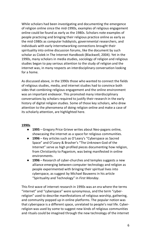While scholars had been investigating and documenting the emergence of religion online since the mid-1990s, examples of religious engagement online could be found as early as the 1980s. Scholars note examples of people practicing and bringing their religious practice online as early as the mid-1980s as computer hobbyists, governmental researchers, and individuals with early internetworking connections brought their spirituality into online discussion forums, like the document by such scholar as Ciolek in The Internet Handbook (Blackwell, 2004). Yet in the 1990s, many scholars in media studies, sociology of religion and religious studies began to pay serious attention to the study of religion and the internet was, in many respects an interdisciplinary conversation looking for a home.

As discussed above, in the 1990s those who wanted to connect the fields of religious studies, media, and internet studies had to convince both sides that combining religious engagement and the online environment was an important endeavor. This promoted many interdisciplinary conversations by scholars required to justify their research in the early history of digital religion studies. Some of those key scholars, who drew attention to the phenomena of doing religion online and make a case of its scholarly attention, are highlighted here.

#### **1990s**

- 1995 Gregory Price Grieve writes about Neo-pagans online, showcasing the internet as a space for religious communities.
- **1996** Key articles such as O'Leary's "Cyberspace as Sacred Space" and O'Leary & Brasher's "The Unknown God of the Internet" serve as high profiled pieces documenting how religion, from Christianity to Paganism, was being manifested in online environments.
- **1996** Research of cyber-churches and temples suggests a new alliance emerging between computer technology and religion as people experimented with bringing their spiritual lives into cyberspace, as suggest by Michael Bauwens in his article "Spirituality and Technology" in *First Monday*.

This first wave of internet research in 1990s was an era where the terms "internet" and "cyberspace" were synonymous, and the term "cyberreligion" used to describe manifestations of religious worship, gathering, and community popped up in online platforms. The popular notion was that cyberspace is a different space, unrelated to people's real life. Cyberreligion was used by some to suggest new kinds of religious communities and rituals could be imagined through the new technology of the internet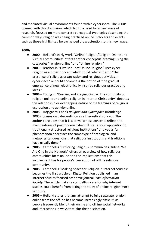and mediated virtual environments found within cyberspace. The 2000s opened with this discussion, which led to a need for a new wave of research, focused on more concrete conceptual typologies describing the common ways religion was being practiced online. Scholars and events such as those highlighted below helped draw attention to this new wave.

#### **2000s**

- **2000**  Helland's early work "Online-Religion/Religion-Online and Virtual Communities" offers another conceptual framing using the categories "religion online" and "online religion."
- **2001** Brasher in "Give Me That Online Religion" uses cyberreligion as a broad concept which could refer either to "the presence of religious organization and religious activities in cyberspace" or could encompass the notion of "the gradual emergence of new, electronically inspired religious practice and ideas."
- **2004** Young in "Reading and Praying Online: The continuity of religion online and online religion in Internet Christianity" debates the relationship or overlapping nature of the framings of religious expression and activity online.
- **2005** Hojsgaard's book *Religion and Cyberspace* (Routledge 2005) focuses on cyber-religion as a theoretical concept. The author concludes that it is a term "whose contents reflect the main features of postmodern cyberculture…a solid opposition to traditionally structured religious institutions" and yet as "a phenomenon addresses the same type of ontological and metaphysical questions that religious institutions and traditions have usually done."
- **2005** Campbell's "Exploring Religious Communities Online: We Are One in the Network" offers an overview of how religious communities form online and the implications that this involvement has for people's perception of offline religious community.
- **2005**  Campbell's "Making Space for Religion in Internet Studies" becomes the first article on Digital Religion published in an Internet Studies focused academic journal, *The Information Society*. The article makes a compelling case for why internet studies could benefit from taking the study of online religion more seriously.
- **2005**  Helland states that any attempt to fully separate religion online from the offline has become increasingly difficult, as people frequently blend their online and offline social networks and interactions in ways that blur their distinction.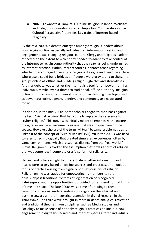● **2007** – Kawabata & Tamura's "Online-Religion in Japan: Websites and Religious Counseling Offer an Important Comparative Cross-Cultural Perspective" identifies key traits of internet-based religiosity.

By the mid-2000s, a debate emerged amongst religious leaders about how religion online, especially individualized information seeking and engagement, was changing religious culture. Clergy and religious leaders reflected on the extent to which they needed to adapt to take control of the internet to regain some authority that they saw as being undermined by internet practice. Within Internet Studies, debates arose regarding whether it encouraged diversity of religious dialogue and could be a place where users could build bridges or if people were gravitating to the same groups online as offline and building religious ghettos and stereotypes. Another debate was whether the internet is a tool for empowerment for individuals, maybe even a threat to traditional, offline authority. Religion online is thus an important case study for understanding how topics such as power, authority, agency, identity, and community are negotiated today.

In addition, in the mid-2000s, some scholars began to push back against the term "virtual religion" that had come to replace the reference to "cyber-religion." This move was initially meant to emphasize the nature of digital or online environments as one that was unique from offline spaces. However, the use of the term "virtual" became problematic as it linked it to the concept of "Virtual Reality" (VR). VR in the 2000s was used to refer to technologically that created simulated experiences, often by game environments, which are seen as distinct from the "real world." Virtual Religion thus evoked the assumption that it was a form of religion that was somehow incomplete or a false form of religiosity.

Helland and others sought to differentiate whether information and rituals were largely based on offline sources and practices, or on unique forms of practice arising from digitally born expressions of religion. Religion online was lauded for empowering its members to reform rituals, bypass traditional systems of legitimation or recognized gatekeepers, and the opportunities it provided to transcend normal limits of time and space. The late 2000s was a time of drawing to these common conceptual understandings of religion on the internet and pushing toward a more theoretical attention in digital research in the Third Wave. The third wave brought in more in-depth analytical reflection and traditional theories from disciplines such as Media studies and Sociology to make sense of not only religious practices online, but how engagement in digitally-mediated and internet spaces altered individuals'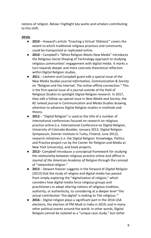notions of religion. Below I highlight key works and scholars contributing to this shift.

#### **2010s**

- **2010** Howard's article "Enacting a Virtual 'Ekklesia'" covers the extent to which traditional religious practices and community could be transported or replicated online.
- **2010** Campbell's "When Religion Meets New Media" introduces the Religious-Social Shaping of Technology approach to studying religious communities' engagement with digital media. It marks a turn towards deeper and more concrete theoretical reflection within Digital Religion studies.
- **2011** Lövheim and Campbell guest edit a special issue of the New Media Studies journal *Information, Communication & Society*  on *"*Religion and the Internet: The online-offline connection." This is the first special issue of a journal outside of the field of Religious Studies to spotlight Digital Religion research. In 2017, they edit a follow-up special issue in *New Media and Society*, the #2 ranked journal in Communication and Media Studies drawing attention to advances Digital Religion studies in methods and theory.
- **2012** "Digital Religion" is used as the title of a number of international conferences focused on research on religious practice online (i.e. International Conference on Digital Religion, University of Colorado-Boulder, January 2012; Digital Religion Symposium, Donner Institute in Turku, Finland, June 2012), research initiatives (i.e. the [Digital Religion: Knowledge, Politics](http://www.crmnyu.org/projects/digital-religion-knowledge-politics-and-practice/)  [and Practice](http://www.crmnyu.org/projects/digital-religion-knowledge-politics-and-practice/) project run by the Center for Religion and Media at New York University), and book projects.
- **2012** Campbell introduces a conceptual framework for studying the relationship between religious practice online and offline in *Journal of the American Academy of Religion* through the concept of "networked religion."
- **2013** Stewart Hoover suggests in the forward of *Digital Religion* (2013) that the study of religion and digital media has passed from simply exploring the "digitalization of religion," which considers how digital media force religious groups and practitioners to adapt altering notions of religious tradition, authority, or authenticity, to considering at a deeper level "the actual contribution 'the digital' is making to 'the religious.'"
- **2016** Digital religion plays a significant part in the 2016 USA elections, the election of PM Modi in India in 2019, and in many other political events around the world. In other words, Digital Religion cannot be isolated as a "unique case study," but rather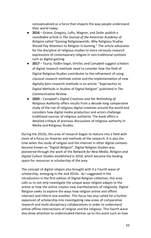conceptualized as a force that impacts the way people understand their world today.

- **2016**  Grieve, Gregory, Lufts, Wagner, and Zeiler publish a roundtable article in *The Journal of the American Academy of Religio*n called "Gaming Religionworlds: Why Religious Studies Should Pay Attention to Religion in Gaming." The article advocates for the discipline of religious studies to more seriously research expressions of contemporary religion in non-traditional contexts such as digital gaming.
- **2017**  Tsuria, Yadlin-Segal, Virtillo, and Campbell suggest scholars of digital research methods need to consider how the field of Digital Religious Studies contributes to the refinement of using classical research methods online and the implementation of new digitally born research methods in an article: "Approaches to Digital Methods in Studies of Digital Religion" published in *The Communication Review*.
- **2020** Campbell's *Digital Creatives and the Rethinking of Religious Authority* offers results from a decade-long comparative study of the rise of religious digital creatives around the world and considers how digital media production and actors challenge traditional sources of religious authority. The book offers a detailed critique of previous discussions of religious authority in Media and Religious Studies.

During the 2010s, this area of research began to mature into a field with more of a focus on theories and methods of the research. It is also the time when the study of religion and the internet in other digital contexts became known as "Digital Religion". Digital Religion Studies was pioneered through the work of the *Network for New Media, Religion and Digital Culture Studies* established in 2010, which became the leading space for resources in scholarship of the area.

The concept of digital religion also brought with it a Fourth wave of scholarship, emerging in the mid 2010s. As I suggested in the introduction in the first edition of Digital Religion collection, this area calls us to not only investigate the unique ways religion adapts to the online or how the online creates new manifestations of religiosity. Digital Religion seeks to explore the ways how religion online and offline intersect and inform one another. This focus has also called for a further expansion of scholarship into investigating new areas of comparative research and multi-disciplinary collaborations in order to understand online-offline intersections of religion and the religious. This fourth wave also drew attention to understudied themes up to this point such as how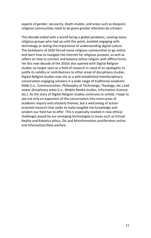aspects of gender, secularity, death studies, and areas such as diasporic religious communities need to be given greater attention by scholars.

This decade ended with a world facing a global pandemic, causing many religious groups who had up until this point, avoided engaging with technology or seeing the importance of understanding digital culture. The lockdowns of 2020 forced many religious communities to go online and learn how to navigate the internet for religious purpose, as well as reflect on how to connect and balance online religion with offline forms. Yet this new decade of the 2020s also opened with Digital Religion studies no longer seen as a field of research in need of an apologetic to justify its validity or contributions to other areas of disciplinary studies. Digital Religion studies now sits as a well-established interdisciplinary conversation engaging scholars in a wide range of traditional academic fields (i.e., Communication, Philosophy of Technology, Theology, etc.) and newer disciplinary areas (i.e., Mobile Media studies, Information Science, etc.). As the story of Digital Religion studies continues to unfold, I hope to see not only an expansion of the conversation into more areas of academic inquiry and scholarly themes, but a welcoming of actionoriented research that seeks to make tangible the knowledge and wisdom our field has to offer. This is especially needed in new ethical challenges posed by our emerging technologies in areas such as Virtual Reality and Robotics ethics, Dis and Misinformation proliferation online and Information/Data warfare.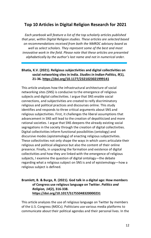## **Top 10 Articles in Digital Religion Research for 2021**

*Each yearbook will feature a list of the top scholarly articles published that year, within Digital Religion studies. These articles are selected based on recommendations received from both the NMRDC advisory board as well as select scholars. They represent some of the best and most innovative work in the field. Please note that these articles are presented alphabetically by the author's last name and not in numerical order.*

#### **Bhatia, K.V. (2021). Religious subjectivities and digital collectivities on social networking sites in India.** *Studies in Indian Politics, 9***(1), 21-36.<https://doi.org/10.1177/2321023021999141>**

This article analyses how the infrastructural architecture of social networking sites (SNS) is conducive to the emergence of religious subjects and digital collectivities. I argue that SNS enable social connections, and subjectivities are created to reify discriminatory religious and political practices and discourses online. This study identifies and responds to three critical arguments about SNS and religious subjectivities. First, it challenges the liberal assumptions that advancement in SNS will lead to the creation of depoliticized and more rational societies. I argue that SNS deepens the already existing social segregations in the society through the creation of digital collectivities. Digital collectivities inform functional possibilities (ontology) and discursive modes (epistemology) of enacting religious subjectivities. These collectivities not only shape the ways in which users articulate their religious and political allegiance but also the content of their online presence. Finally, in unpacking the formation and existence of digital collectivities and how they are linked with the emergence of religious subjects, I examine the question of digital ontology—the debate regarding what a religious subject on SNS is and of epistemology—how a religious subject is defined.

#### **Bramlett, B. & Burge, R. (2021). God talk in a digital age: How members of Congress use religious language on Twitter.** *Politics and Religion, 14***(2), 316-338. <https://doi.org/10.1017/S1755048320000231>**

This article analyzes the use of religious language on Twitter by members of the U.S. Congress (MOCs). Politicians use various media platforms to communicate about their political agendas and their personal lives. In the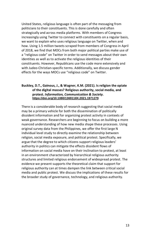United States, religious language is often part of the messaging from politicians to their constituents. This is done carefully and often strategically and across media platforms. With members of Congress increasingly using Twitter to connect with constituents on a regular basis, we want to explain who uses religious language on Twitter, when and how. Using 1.5 million tweets scraped from members of Congress in April of 2018, we find that MOCs from both major political parties make use of a "religious code" on Twitter in order to send messages about their own identities as well as to activate the religious identities of their constituents. However, Republicans use the code more extensively and with Judeo-Christian-specific terms. Additionally, we discuss gender effects for the ways MOCs use "religious code" on Twitter.

#### **Buckley, D.T., Gainous, J., & Wagner, K.M. (2021). Is religion the opiate of the digital masses? Religious authority, social media, and protest.** *Information, Communication & Society.*  **<https://doi.org/10.1080/1369118X.2021.1971279>**

There is a considerable body of research suggesting that social media may be a primary vehicle for both the dissemination of politically dissident information and for organizing protest activity in contexts of weak governance. Researchers are beginning to focus on building a more nuanced understanding of how new media shape these processes. Using original survey data from the Philippines, we offer the first large N individual level study to directly examine the relationship between religion, social media exposure, and political protest. Specifically, we argue that the degree to which citizens support religious leaders' authority in politics can mitigate the effects dissident flows of information on social media have on their inclination to protest, at least in an environment characterized by hierarchical religious authority structures and limited religious endorsement of widespread protest. The evidence we present supports the theoretical claim that support for religious authority can at times dampen the link between critical social media and public protest. We discuss the implications of these results for the broader study of governance, technology, and religious authority.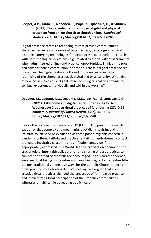#### **Cooper, A.P., Laato, S., Nenonen, S., Pope, N., Tjiharuka, D., & Sutinen, E. (2021). The reconfiguration of social, digital and physical presence: from online church to church online.** *Theological Studies,* **77(3). <https://doi.org/10.4102/hts.v77i3.6286>**

Digital presence refers to technologies that provide communities a shared experience and a sense of togetherness, despite geographical distance. Emerging technologies for digital presence provide the church with both theological questions (e.g., related to the validity of sacraments when administered online) and practical opportunities. Think of the pros and cons for online communion in some churches: is digital presence real presence? The digital realm as a thread of the universe leads to rethinking of the church as a social, digital and physical unity. What kind of new possibilities could digital presence in digital realities provide to spiritual experience, individually and within the worship?

#### **Deguma, J.J., Capuno, R.G., Deguma, M.C., Igot, V.J., & Lumavag, C.G. (2021). Take home and digital Lenten filter ashes for Ash Wednesday: Creative ritual practices of faith during COVID-19 pandemic.** *Journal of Publica Health, 43***(2), 360-361. <https://doi.org/10.1093/pubmed/fdab068>**

Before the coronavirus disease in 2019 (COVID-19), previous research cautioned that complex and meaningful quotidian rituals involving intimate touch need re-evaluation as these pose a hygienic concern in pandemic culture. Faith-based practices entail human-to-human contact that could inevitably cause the virus infection contagion if not appropriately addressed. In a World Health Organization document, the crucial role of inter-faith collaboration and sharing of best practices to combat the spread of the virus are encouraged. In this correspondence, we assert that taking home ashes and launching digital Lenten ashes filter are non-traditional yet creative ways for the Catholic Church to perform ritual practice in celebrating Ash Wednesday. We argued that such creative ritual practices changed the landscape of faith-based practice and implied trans-local participation of the Catholic community as witnesses of faith while upkeeping public health.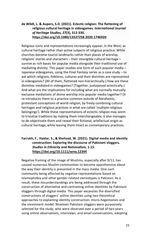#### **de Wildt, L. & Aupers, S.D. (2021). Eclectic religion: The flattening of religious cultural heritage in videogames.** *International Journal of Heritage Studies, 27***(3), 312-330. <https://doi.org/10.1080/13527258.2020.1746920>**

Religious icons and representations increasingly appear, in the West, as cultural heritage rather than active subjects of religious practice. While churches become tourist landmarks rather than places of worship; religions' stories and characters – their intangible cultural heritage – survive as rich bases for popular media alongside their traditional use of mediating divinity. This paper studies one form of such popular media – Japanese videogames, using the *Final Fantasy* series as a case study – to ask which religions, folklores, cultures and their divinities are represented in videogames? (All of them, flattened non-hierarchically.) How are these divinities mediated in videogames? (Together, juxtaposed eclectically.) And what are the implications for including what are normally mutually exclusive mediations of divine worship into popular media together? (It re-introduces them to a practice common outside of Abrahamic, protestant conceptions of world religion, by freely combining cultural heritages and religious practices in what are called 'multiple religious belongings'). While these representations of eclectic religion may seem to trivialize traditions by making them interchangeable, it also manages to de-objectivate them and reveal their fictional, artefactual origin as cultural heritage, while leaving them intact as contemporary practices.

#### **Farrukh, F., Haidar, S., & Shehzad, W. (2021). Digital media and identity construction: Exploring the discourse of Pakistani vloggers.**  *Studies in Ethnicity and Nationalism,* **1-15. <https://doi.org/10.1111/sena.12344>**

Negative framing of the image of Muslims, especially after 9/11, has caused numerous Muslim communities to become apprehensive about the way their identity is presented in the mass media. One such community being affected by negative representations based on Islamophobia and other gender-related stereotypes is Pakistan. As a result, these misunderstandings are being addressed through the construction of alternative and contrasting online identities by Pakistani vloggers through digital media. This paper excavates the diversified constructions of vloggers' online identities using two theoretical approaches to explaining identity construction: micro-hegemonies and the investment model. Nineteen Pakistani vloggers were purposively selected for the study, who were observed over a period of two years using online observations, interviews, and email conversations, adopting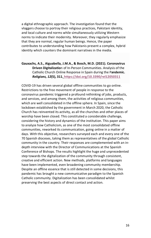a digital ethnographic approach. The investigation found that the vloggers choose to portray their religious practices, Pakistani identity, and local culture and norms while simultaneously utilizing Western norms to indicate their modernity. Moreover, they regularly emphasize that they are normal, regular human beings. Hence, the paper contributes to understanding how Pakistanis present a complex, hybrid identity which counters the dominant narratives in the media.

#### **Gauxachs, A.S., Aiguabella, J.M.A., & Bosch, M.D. (2021). Coronavirus Driven Digitalizatio**n of In-Person Communities. Analysis of the Catholic Church Online Response in Spain during the P**andemic.**  *Religions, 12***(5), 311.<https://doi.org/10.3390/rel12050311>**

COVID-19 has driven several global offline communities to go online. Restrictions to the free movement of people in response to the coronavirus pandemic triggered a profound rethinking of jobs, products, and services, and among them, the activities of religious communities, which are well consolidated in the offline sphere. In Spain, since the lockdown established by the government in March 2020, the Catholic Church has reinvented its activity, as all the churches and other places of worship have been closed. This constituted a considerable challenge, considering the history and dynamics of the institution. This paper aims to analyze how Catholicism, as one of the most consolidated offline communities, reworked its communication, going online in a matter of days. With this objective, researchers surveyed each and every one of the 70 Spanish dioceses, taking them as representatives of the global Catholic community in the country. Their responses are complemented with an indepth interview with the Director of Communications at the Spanish Conference of Bishops. The results highlight the huge and unprecedented step towards the digitalization of the community through consistent, creative and efficient action. New methods, platforms and languages have been implemented, even broadening community membership. Despite an offline essence that is still detected in some decisions, this pandemic has brought a new communicative paradigm to the Spanish Catholic community. Digitalization has been consolidated whilst preserving the best aspects of direct contact and action.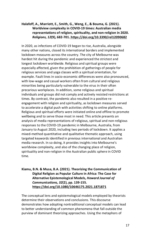#### **Halafoff, A., Marriott, E., Smith, G., Weng, E., & Bouma, G. (2021). Worldview complexity in COVID-19 times: Australian media representations of religion, spirituality, and non-religion in 2020.**  *Religions, 12***(9), 682-701. <https://doi.org/10.3390/rel12090682>**

In 2020, as infections of COVID-19 began to rise, Australia, alongside many other nations, closed its international borders and implemented lockdown measures across the country. The city of Melbourne was hardest hit during the pandemic and experienced the strictest and longest lockdown worldwide. Religious and spiritual groups were especially affected, given the prohibition of gatherings of people for religious services and yoga classes with a spiritual orientation, for example. Fault lines in socio-economic differences were also pronounced, with low-wage and casual workers often from cultural and religious minorities being particularly vulnerable to the virus in their often precarious workplaces. In addition, some religious and spiritual individuals and groups did not comply and actively resisted restrictions at times. By contrast, the pandemic also resulted in a positive reengagement with religion and spirituality, as lockdown measures served to accelerate a digital push with activities shifting to online platforms. Religious and spiritual efforts were initiated online and offline to promote wellbeing and to serve those most in need. This article presents an analysis of media representations of religious, spiritual and non-religious responses to the COVID-19 pandemic in Melbourne, Australia, from January to August 2020, including two periods of lockdown. It applies a mixed-method quantitative and qualitative thematic approach, using targeted keywords identified in previous international and Australian media research. In so doing, it provides insights into Melbourne's worldview complexity, and also of the changing place of religion, spirituality and non-religion in the Australian public sphere in COVID time.

#### **Kiamu, B.N. & Musa, B.A. (2021). Theorizing the Communication of Digital Religion as Popular Culture in Africa: The Case for Alternative Epistemological Models,** *Howard Journal of Communications, 32***(2), pp. 139-155. https://doi.org/10.1080/10646175.2021.1871871**

The conceptual lens and epistemological models employed by theorists determine their observations and conclusions. This discourse demonstrates how adopting nontraditional conceptual models can lead to better understanding of common phenomena that fall outside the purview of dominant theorizing approaches. Using the metaphors of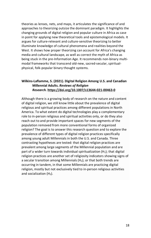theories as lenses, nets, and maps, it articulates the significance of and approaches to theorizing outsize the dominant paradigm. It highlights the changing grounds of digital religion and popular culture in Africa as case in point for applying new theoretical tools and epistemological models. It argues for culture-relevant and culture-sensitive theorizing to better illuminate knowledge of cultural phenomena and realities beyond the West. It shows how proper theorizing can account for Africa's changing media and cultural landscape, as well as correct the myth of Africa as being stuck in the pre-Information Age. It recommends non-binary multimodal frameworks that transcend old-new, sacred-secular, spiritualphysical, folk-popular binary thought systems.

#### **Wilkins-Laflamme, S. (2021). Digital Religion Among U.S. and Canadian Millennial Adults.** *Reviews of Religion Research.* **<https://doi.org/10.1007/s13644-021-00463-0>**

Although there is a growing body of research on the nature and content of digital religion, we still know little about the prevalence of digital religious and spiritual practices among different populations in North America. To what extent do digital technologies play a complementary role to in-person religious and spiritual activities only, or do they also reach out to and provide important spaces for new segments of the population removed from more conventional forms of organized religion? The goal is to answer this research question and to explore the prevalence of different types of digital religion practices specifically among young adult Millennials in both the U.S. and Canada. Three contrasting hypotheses are tested: that digital religion practices are prevalent among large segments of the Millennial population and are part of a wider turn towards individual spiritualization  $(H_1)$ ; that digital religion practices are another set of religiosity indicators showing signs of a secular transition among Millennials ( $H_2$ ); or that both trends are occurring in tandem, in that some Millennials are practicing digital religion, mostly but not exclusively tied to in-person religious activities and socialization  $(H_3)$ .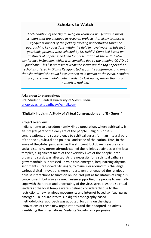### **Scholars to Watch**

*Each addition of the Digital Religion Yearbook will feature a list of scholars that are engaged in research projects that likely to make a significant impact of the field by tackling understudied topics or approaching key questions within the field in novel ways. In this first yearbook, projects were selected by Dr. Heidi A Campbell based on abstracts of papers scheduled for presentation at the 2021 ISMRC conference in Sweden, which was cancelled due to the ongoing COVID-19 pandemic. This list represents what she views are the top papers that scholars offered in Digital Religion studies for the conference, and ones that she wished she could have listened to in person at the event. Scholars are presented in alphabetical order by last name, rather than in a numerical ranking.*

#### **Arkaprava Chattopadhyay**

PhD Student, Central University of Sikkim, India [arkapravachattopadhyay@gmail.com](mailto:arkapravachattopadhyay@gmail.com)

#### **"Digital Hinduism: A Study of Virtual Congregations and 'E - Gurus'"**

#### **Project overview:**

India is home to a predominantly Hindu population, where spirituality is an integral part of the daily life of the people. Religious rituals, congregations, and subservience to spiritual gurus, form an integral part of the social, cultural and political landscape of the nation. Thus, in the wake of the global pandemic, as the stringent lockdown measures and social distancing norms abruptly stalled the religious activities at the local temples, a significant facet of the everyday lives of the people, both urban and rural, was affected. As the necessity for a spiritual catharsis grew manifold, suppressed - a void thus emerged, bequeathing abysmal sentiments; unresolved. Strikingly, to maneuver around this challenge, various digital innovations were undertaken that enabled the religious rituals/ interactions to function online. Not just as facilitators of religious contentment, but also as a mechanism supporting the people to mentally cope with the threat and uncertainty of the virus spread. As the spiritual leaders at the local temple were sidelined considerably due to the restrictions, new religious movements and internet based spiritual gurus emerged. To inquire into this, a digital ethnography based methodological approach was adopted, focusing on the digital innovations of these new organizations and their adopted initiatives. Identifying the 'International Vedanta Society' as a purposive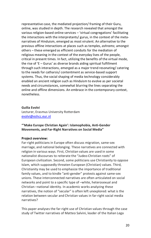representative case, the mediated projection/ framing of their Guru, online, was studied in depth. The research revealed that amongst the various religion-based online services – 'virtual congregations' facilitating the interactions with the interpretants/ gurus, in the context of the metanarratives of Hinduism, emerged as most virulent. An alternative to the previous offline interactions at places such as temples, *ashrams*; amongst others – these emerged as efficient conduits for the mediation of religious meaning in the context of the everyday lives of the people, critical in present times. In fact, utilizing the benefits of the virtual mode, the rise of 'E – Gurus' as diverse brands aiding spiritual fulfillment through such interactions, emerged as a major trend resonating/ catering to the needs for catharsis/ contentment as service-based support systems. Thus, the social shaping of media technology considerably enabled an ancient religion such as Hinduism to evolve as per societal needs and circumstances, somewhat blurring the lines separating the online and offline dimensions. An embrace in the contemporary context, nonetheless.

#### **Guilia Evolvi**

Lecturer, Erasmus University Rotterdam [evolvi@eshcc.eur.nl](mailto:evolvi@eshcc.eur.nl)

#### **"'Make Europe Christian Again': Islamophobia, Anti-Gender Movements, and Far-Right Narratives on Social Media"**

#### **Project overview:**

Far-right politicians in Europe often discuss migration, same-sex marriage, and national belonging. These narratives are connected with religion in various ways. First, Christian values are used in some nationalist discourses to reiterate the "Judeo-Christian roots" of European civilization. Second, some politicians use Christianity to oppose Islam, which supposedly threaten European (Christian) values. Third, Christianity may be used to emphasize the importance of traditional family values, and to kindle "anti-gender" protests against same-sex unions. These interconnected narratives are often articulated on social networks and point to a specific type of –white, heterosexual and Christian –national identity. In academic works analyzing these narratives, the notion of "secular" is often left unexplored: what is the relation between secular and Christian values in far-right social media narratives?

This paper analyses the far-right use of Christian values through the case study of Twitter narratives of Matteo Salvini, leader of the Italian Lega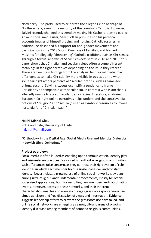Nord party. The party used to celebrate the alleged Celtic heritage of Northern Italy, even if the majority of the country is Catholic. However, Salvini recently changed this trend by making his Catholic identity public. An avid social media user, Salvini often publishes on his personal accounts images of himself praying and holding Catholic rosaries. In addition, he described his support for anti-gender movements and participation in the 2018 World Congress of Families, and blamed Muslims for allegedly "threatening" Catholic traditions such as Christmas. Through a textual analysis of Salvini's tweets sent in 2018 and 2019, this paper shows that Christian and secular values often assume different meanings in far-right narratives depending on the issue they refer to. There are two main findings from the analysis: first, social media may offer venues to make Christianity more visible in opposition to what some far-right actors perceive as "secular" trends, such as same-sex unions. second, Salvini's tweets exemplify a tendency to frame Christianity as compatible with secularism, in contrast with Islam that is allegedly unable to accept secular democracies. Therefore, analyzing European far-right online narratives helps understand the controversial notions of "religion" and "secular," used as symbolic resources to invoke nostalgia for a "Christian past."

#### **Nakhi Mishol-Shauli**

PhD Candidate, University of Haifa [nakhish@gmail.com](mailto:nakhish@gmail.com)

#### **"Orthodoxy in the Digital Age: Social Media Use and Identity Dialectics in Jewish Ultra-Orthodoxy"**

#### **Project overview:**

Social media is often lauded as enabling open communication, identity play and leisure-laden practices. For close-knit, orthodox religious communities, such affordances raise concern, as they contrast their rigid system of roleidentities in which each member holds a single, cohesive, and constant identity. Nevertheless, a growing use of online social networks is evident among ultra-religious and fundamentalist movements, mostly for official supervised applications, both for recruiting new members and coordinating events. However, access to these networks, and their inherent characteristics, enables and even encourages grassroots spontaneous use aimed at leisure and free discussion of views and information. Evidence suggests leadership efforts to prevent the grassroots use have failed, and online social networks are emerging as a new, vibrant arena of ongoing identity discourse among members of bounded religious communities.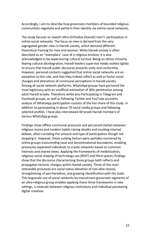Accordingly, I aim to describe how grassroots members of bounded religious communities negotiate and perform their identity via online social networks.

The study focuses on Jewish Ultra-Orthodox (Haredi) men's' participation in online social networks. The focus on men is derived from the very segregated gender roles in Haredi society, which demand different theoretical framing for men and women. While Haredi society is often described as an "exemplary" case of a religious enclave, it is also acknowledged to be experiencing cultural turmoil. Being an ethnic minority fearing cultural disintegration, Haredi leaders supervise media outlets tightly to ensure that Haredi public discourse presents unity and conformity. However, personal contacts suggested that online social networks are an exception to this rule, and that they indeed reflect as well as foster social changes and alterations of communal perceptions in Haredi society. Among all social network platforms, WhatsApp groups have garnered the most legitimacy with an unofficial estimation of 30% penetration among adult Haredi Israelis. Therefore, while also Participating in Telegram and Facebook groups, as well as following Twitter and YouTube accounts, analysis of WhatsApp participation consists of the lion share of this study. In addition to participating in about 70 social media groups and following selected profiles, I have also interviewed 40 Israeli Haredi members of various WhatsApp groups.

Findings show offline communal pressures and perceived clashes between religious mores and modern habits raising doubts and invoking internal debate, often curtailing the amount and type of participation though not stopping it. However, these curbing factors were partially countered by online groups transcending local and denominational boundaries, enabling previously separated individuals to create networks based on common interests and shared views. Applying the frameworks of mediatization, religious-social shaping of technology use (RSST) and third spaces, findings show that the discourse characterizing these groups both reflects and propagates tectonic changes within Haredi society. Three of the most noticeable processes are social status elevation of non-elite classes, strengthening of pan-Haredism, and growing identification with the state. This largescale use of social networks by mainstream grassroots segments of an ultra-religious group enables applying these three frameworks in new settings, a midscale between religious institutions and individual pioneering digital creatives.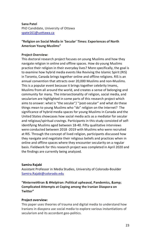#### **Sana Patel**

PhD Candidate, University of Ottawa [spate161@uottawa.ca](mailto:spate161@uottawa.ca)

#### **"Religion on Social Media in 'Secular' Times: Experiences of North American Young Muslims"**

#### **Project Overview:**

This doctoral research project focuses on young Muslims and how they navigate religion in online and offline spaces. How do young Muslims practice their religion in their everyday lives? More specifically, the goal is to examine how hybrid media events like Reviving the Islamic Spirit (RIS) in Toronto, Canada brings together online and offline religions. RIS is an annual convention that attracts over 20,000 Muslims and non-Muslims. This is a popular event because it brings together celebrity Imams, Muslims from all around the world, and creates a sense of belonging and community for many. The intersectionality of religion, social media, and secularism are highlighted in some parts of this research project which aims to answer: what is "the secular"/ "post-secular" and what do these things mean to young Muslims who "do" religion on the Internet? The significance of hybrid media spaces for young Muslims in Canada and the United States showcases how social media acts as a mediator for secular and religious/spiritual cravings. Participants in this study consisted of selfidentifying Muslims aged between 18-40. Fifty qualitative interviews were conducted between 2018 -2019 with Muslims who were recruited at RIS. Through the concept of lived religion, participants discussed how they navigate and negotiate their religious beliefs and practices when in online and offline spaces where they encounter secularity on a regular basis. Fieldwork for this research project was completed in April 2020 and the findings are currently being analyzed.

#### **Samira Rajabi**

Assistant Professor in Media Studies, University of Colorado-Boulder [Samira.Rajabi@colorado.edu](mailto:Samira.Rajabi@colorado.edu)

**"#Internet4Iran & #HelpIran: Political upheaval, Pandemics, & Complicated Attempts at Coping among the Iranian Diaspora on Twitter"**

#### **Project overview:**

This paper uses theories of trauma and digital media to understand how Iranians in diaspora use social media to explore various instantiations of secularism and its accordant geo-politics.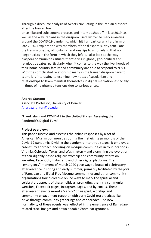Through a discourse analysis of tweets circulating in the Iranian diaspora after the Iranian fuel

price hike and subsequent protests and internet shut off in late 2019, as well as the way Iranians in the diaspora used Twitter to mark anxieties around the COVID-19 pandemic, which hit Iran particularly hard in midlate 2020. I explore the way members of the diaspora subtly articulate the trauma of exile, of nostalgic relationships to a homeland that no longer exists in the form in which they left it. I also look at the way diaspora communities situate themselves in global, geo-political and religious debates, particularly when it comes to the way the livelihoods of their home-country family and community are able to respond to crisis. With the complicated relationship many in the Iranian diaspora have to Islam, it is interesting to examine how notes of secularism and relationships to Islam manifest themselves in digital mediation, especially in times of heightened tensions due to various crises.

#### **Andrea Stanton**

Associate Professor, University of Denver [Andrea.stanton@du.edu](mailto:Andrea.stanton@du.edu)

**"Lived Islam and COVID-19 in the United States: Assessing the Pandemic's Digital Turn"**

#### **Project overview:**

This paper surveys and assesses the online responses by a set of American Muslim communities during the first eighteen months of the Covid-19 pandemic. Dividing the pandemic into three stages, it employs a case-study approach, focusing on mosque communities in four locations - Virginia, Colorado, Texas, and Washington – and examining the evolution of their digitally-based religious worship and community efforts on websites, Facebook, Instagram, and other digital platforms. The "emergency" moment of March 2020 gave way to bursts of celebratory effervescence in spring and early summer, primarily facilitated by the joys of Ramadan and Eid al-Fitr. Mosque communities and other community organizations found creative online ways to mark the spiritual and celebratory aspects of these holidays, promoting them via community websites, Facebook pages, Instagram pages, and by emails. These effervescent events mixed a 'can-do' crisis spirit, worship, and community engagement together with early Covid-era practices like drive-through community gatherings and car parades. The new normativity of these events was reflected in the emergence of Ramadanrelated stock images and downloadable Zoom backgrounds.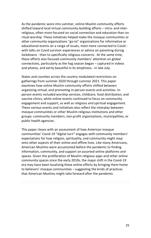As the pandemic wore into summer, online Muslim community efforts shifted toward local virtual community-building efforts – intra- and interreligious, often more focused on social connection and education than on ritual worship. These initiatives helped make the mosque communities or other community organizations "go-to" organizations for informative or educational events on a range of issues, most more connected to Covid with talks on Covid survivor experiences or advice on parenting during lockdowns - than to specifically religious concerns. At the same time, these efforts also focused community members' attention on global connections, particularly as the hajj season began – captured in videos and photos, and eerily beautiful in its emptiness - in late July.

States and counties across the country modulated restrictions on gatherings from summer 2020 through summer 2021. This paper examines how online Muslim community efforts shifted between organizing virtual, and promoting in-person events and activities. Inperson events included worship services, childcare, food distribution, and vaccine clinics, while online events continued to focus on community engagement and support, as well as religious and spiritual engagement. These various events and initiatives also reflect the interplay between mosque communities or other Muslim religious institutions and other groups: community members, non-profit organizations, municipalities, or public health agencies.

This paper closes with an assessment of how American mosque communities' Covid-19 "digital turn" engages with community members' expectations for how religion, spirituality, and community might map onto other aspects of their online and offline lives. Like many Americans, American Muslims were accustomed before the pandemic to finding information, community, and support on assorted online platforms and spaces. Given the proliferation of Muslim religious apps and other online community spaces since the early 2010s, the major shift in the Covid-19 era may have been localizing these online efforts by bringing them home to believers' mosque communities – suggesting the kinds of practices that American Muslims might take forward after the pandemic.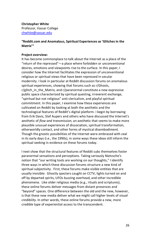#### **Christopher White**

Professor, Vassar College [chwhite@vassar.edu](mailto:chwhite@vassar.edu)

#### **"Reddit.com and Anomalous, Spiritual Experiences as 'Glitches in the Matrix'"**

#### **Project overview:**

It has become commonplace to talk about the Internet as a place of the "return of the repressed"—a place where forbidden or unconventional desires, emotions and viewpoints rise to the surface. In this paper, I consider how the Internet facilitates the expression of unconventional religious or spiritual views that have been repressed in secular modernity. I look in particular at Reddit discussion forums on anomalous spiritual experiences, showing that forums such as r/Ghosts, r/glitch\_in\_the\_Matrix, and r/paranormal constitute a new expressive public space characterized by spiritual questing, irreverent exchange, "spiritual but not religious" anti-clericalism, and playful spiritual commitment. In this paper, I examine how these experiences are cultivated on Reddit by looking at both the aesthetic and the technological features of Reddit's digital platform. I begin by borrowing from Erik Davis, Stef Aupers and others who have discussed the Internet's aesthetic of *flow and transmission*, an aesthetic that seems to make more plausible unusual experiences of dissociation, spiritual transformation, otherworldly contact, and other forms of mystical disembodiment. Though the gnostic possibilities of the Internet were embraced with zeal in its early days (i.e., the 1990s), in some ways these ideas still inform the spiritual seeking in evidence on these forums today.

I next show that the structural features of Reddit subs themselves foster paranormal sensations and perceptions. Taking seriously Nietzsche's notion that "our writing tools are working on our thoughts," I identify three ways in which these discussion forums structure a new kind of spiritual subjectivity. First, these forums make visible entities that are usually invisible: Ghostly specters caught on CCTV, lights turned on and off by departed spirits, UFOs buzzing overhead, and other incredible phenomena. Like older religious media (e.g., rituals and scriptures), these online forums deliver messages from distant presences and "beyond" spaces. One difference between the old and the new, however, is that these new media deliver what we might call higher levels of *visual credibility*. In other words, these online forums provide a new, more credible type of experiential access to the transcendent.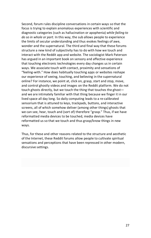Second, forum rules discipline conversations in certain ways so that the focus is trying to explain anomalous experiences with scientific and diagnostic categories (such as hallucination or apophenia) *while failing to do so in whole or part.* In this way, the sub allows people to experience the limits of secular understanding and thus evokes feelings of awe, wonder and the supernatural. The third and final way that these forums structure a new kind of subjectivity has to do with how we touch and interact with the Reddit app and website. The sociologist Mark Paterson has argued in an important book on sensory and affective experience that touching electronic technologies every day changes us in certain ways. We associate touch with contact, proximity and sensations of "feeling-with." How does habitually touching apps or websites reshape our experience of seeing, touching, and believing in the supernatural online? For instance, we point at, click on, grasp, start and stop, move, and control ghostly videos and images on the Reddit platform. We do not touch ghosts directly, but we touch the thing that touches the ghost and we are intimately familiar with that thing because we finger it in our lived space all day long. So daily computing leads to a re-calibrated sensorium that is attuned to keys, trackpads, buttons, and interactive screens, all of which somehow deliver (among other things) ghosts that we can see, hear, touch and (sort of) therefore "grasp." Thus, if we have reformatted media devices to be touched, media devices have reformatted us so that we touch and thus grasp/know things in new ways.

Thus, for these and other reasons related to the structure and aesthetic of the Internet, these Reddit forums allow people to cultivate spiritual sensations and perceptions that have been repressed in other modern, discursive settings.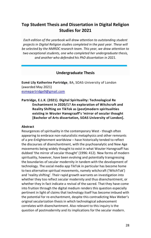## **Top Student Thesis and Dissertation in Digital Religion Studies for 2021**

*Each edition of the yearbook will draw attention to outstanding student projects in Digital Religion studies completed in the past year. These will be selected by the NMRDC research team. This year, we draw attention to two exceptional students, one who completed her undergraduate thesis, and another who defended his PhD dissertation in 2021.*

#### **Undergraduate Thesis**

**Esmé Lily Katherine Partridge**, BA, SOAS-University of London (awarded May 2021) [esmepartridge9@gmail.com](mailto:esmepartridge9@gmail.com)

**Partridge, E.L.K. (2021). Digital Spirituality: Technological Re Enchantment in 2020/1? An exploration of Witchcraft and Reality Shifting on TikTok as (post)modern spiritualities existing in Wouter Hanegraaff's 'mirror of secular thought [Bachelor of Arts dissertation, SOAS University of London].**

#### **Abstract**

Resurgences of spirituality in the contemporary West - though often appearing to embrace non-naturalistic metaphysics and other remnants of a pre-Enlightenment worldview – have historically tended to reflect the discourses of disenchantment, with the psychoanalytic and New Age movements being widely thought to exist in what Wouter Hanegraaff has dubbed 'the mirror of secular thought' (1996: 412). New forms of modern spirituality, however, have been evolving and potentially transgressing the boundaries of secular modernity in tandem with the development of technology. The social media app TikTok in particular has become home to two alternative spiritual movements, namely witchcraft ('WitchTok') and 'reality shifting'. Their rapid growth warrants an investigation into whether they too reflect secular modernity and thus disenchantment, or whether they in fact indicate a revival of the sacred. That they have come into fruition through the digital medium renders this question especially pertinent in light of claims that technology itself has become imbued with the potential for re-enchantment, despite this contradicting Max Weber's original secularization thesis in which technological advancement correlates with disenchantment. Also relevant to this inquiry is the question of postmodernity and its implications for the secular modern.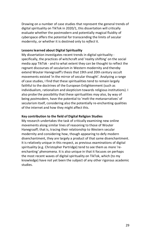Drawing on a number of case studies that represent the general trends of digital spirituality on TikTok in 2020/1, this dissertation will critically evaluate whether the postmodern and potentially magical fluidity of cyberspace offers the potential for transcending the limits of secular modernity, or whether it is destined only to *reflect* it.

#### **Lessons learned about Digital Spirituality**

My dissertation investigates recent trends in digital spirituality specifically, the practices of witchcraft and 'reality shifting' on the social media app TikTok - and to what extent they can be thought to reflect the regnant discourses of secularism in Western modernity and thereby extend Wouter Hanegraaff's thesis that 19th and 20th century occult movements existed 'in the mirror of secular thought'. Analyzing a range of case studies, I find that these spiritualities tend to remain largely faithful to the doctrines of the European Enlightenment (such as individualism, rationalism and skepticism towards religious institutions). I also probe the possibility that these spiritualities may also, by way of being *post*modern, have the potential to 'melt the metanarratives' of secularism itself, considering also the potentially re-enchanting qualities of the internet and how they might affect this.

#### **Key contribution to the field of Digital Religion Studies**

My research undertakes the task of critically examining new online movements along similar lines of reasoning to those of Wouter Hanegraaff; that is, tracing their relationship to Western secular modernity and considering how, though appearing to defy modern disenchantment, they are largely a product of that same disenchantment. It is relatively unique in this respect, as previous examinations of digital spirituality (e.g. Christopher Partridge) tend to see them as more 'reenchanting' phenomena. It is also unique in that it focuses on perhaps the most recent waves of digital spirituality on TikTok, which (to my knowledge) have not yet been the subject of any other rigorous academic studies.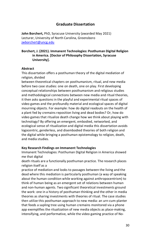#### **Graduate Dissertation**

**John Borchert,** PhD, Syracuse University (awarded May 2021) Lecturer, University of North Carolina, Greensboro [jwborchert@uncg.edu](mailto:jwborchert@uncg.edu)

#### **Borchert, J. (2021). Immanent Technologies: Posthuman Digital Religion in America. [Doctor of Philosophy Dissertation, Syracuse University].**

#### **Abstract**

This dissertation offers a posthuman theory of the digital mediation of religion, divided

between theoretical chapters on posthumanism, ritual, and new media before two case studies: one on death, one on play. First developing conceptual relationships between posthumanism and religious studies and methodological connections between new media and ritual theories, it then asks questions in the playful and experimental ritual spaces of video games and the profoundly material and ecological spaces of digital mourning objects. For example: how do digital readouts on the health of a plant fed by cremains reposition living and dead bodies? Or, how do video games that ritualize death change how we think about playing with technology? By offering an emergent, embodied, networked, and ecological sense of ritualization and digital media this dissertation avoids logocentric, genderless, and disembodied theories of both religion and the digital while bringing a posthuman epistemology to religion, death, and media studies.

#### **Key Research Findings on Immanent Technologies**

Immanent Technologies: Posthuman Digital Religion in America showed me that digital

death rituals are a functionally posthuman practice. The research places religion itself as a

practice of mediation and looks to passages between the living and the dead where this mediation is particularly posthuman (a way of speaking about the human condition while working against anthropocentrism) to think of human being as an emergent set of relations between human and non-human agents. Two significant theoretical investments ground the work: one in a history of posthuman thinking and the other in media theories as sharing investments with theories of ritual. The case studies then utilize this posthuman approach to new media: an urn-cum-planter that feeds a sapling tree using human cremains monitored via a phone app exemplifies the ritualization of new media objects as place-making, intensifying, and performative, while the video gaming practice of No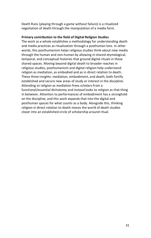Death Runs (playing through a game without failure) is a ritualized negotiation of death through the manipulation of a media form.

#### **Primary contribution to the field of Digital Religion Studies**

The work as a whole establishes a methodology for understanding death and media practices as ritualization through a posthuman lens. In other words, this posthumanism helps religious studies think about new media through the human and non-human by allowing in shared etymological, temporal, and conceptual histories that ground digital rituals in these shared spaces. Moving beyond digital death to broader reaches in religious studies, posthumanism and digital religion help understand religion as mediation, as embodied and as in direct relation to death. These three insights: mediation, embodiment, and death, both fortify established and secure new areas of study or interest in the discipline. Attending to religion as mediation frees scholars from a functional/essential dichotomy and instead looks to religion as that thing in between. Attention to performances of embodiment has a stronghold on the discipline, and this work expands that into the digital and posthuman spaces for what counts as a body. Alongside this, thinking religion in direct relation to death moves the world of death studies closer into an established circle of scholarship around ritual.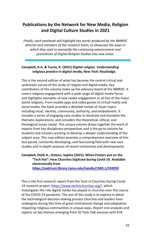## **Publications by the Network for New Media, Religion and Digital Culture Studies in 2021**

*Finally, each yearbook will highlight key works produced by the NMRDC director and members of the research team, to showcase the ways in which they seek to exemplify the continuing advancement and promotions of Digital Religion Studies into new areas.*

#### **Campbell, H.A. & Tsuria, R. (2021)** *Digital religion. Understanding religious practice in digital media***, New York: Routledge.**

This is the second edition of what has become the central critical and systematic survey of the study of religion and digital media. Key contributors of this volume make up the advisory board of the NMRDC. It covers religious engagement with a wide range of digital media forms and highlights examples of new media engagement in all five of the major world religions. From mobile apps and video games to virtual reality and social media, the book provides a detailed review of major topics including ritual, identity, community, authority, and embodiment. It includes a series of engaging case studies to illustrate and elucidate the thematic explorations; and considers the theoretical, ethical, and theological issues raised. This unique volume draws together the work of experts from key disciplinary perspectives and is the go-to volume for students and scholars wanting to develop a deeper understanding of the subject area. This new edition provides a comprehensive overview of this fast-paced, constantly developing, and fascinating field with new case studies and in-depth analyses of recent scholarship and developments.

## **Campbell, Heidi A.; Osteen, Sophia (2021). When Pastors put on the "Tech Hat": How Churches Digitized during Covid-19. Available electronically from**

**<https://oaktrust.library.tamu.edu/handle/1969.1/194959>**

This is the first research report from the Tech in Churches During Covid-19 research project [\(https://www.techinchurches.org/\)](https://www.techinchurches.org/), which investigates the role digital media has played in churches over the course of the COVID-19 pandemic. The aim of this study is to explore in detail the technological decision-making process churches and leaders have undergone during this time of great institutional change and adaptation impacting religious communities in unique ways. Report one analyzes and reports on key themes emerging from 50 Tech Talk sessions with 478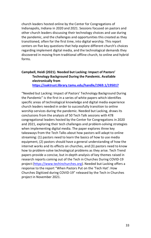church leaders hosted online by the Center for Congregations of Indianapolis, Indiana in 2020 and 2021. Sessions focused on pastors and other church leaders discussing their technology choices and use during the pandemic, and the challenges and opportunities this created as they transitioned, often for the first time, into digital worship. This report centers on five key questions that help explore different church's choices regarding implement digital media, and the technological demands they discovered in moving from traditional offline church, to online and hybrid forms.

#### **Campbell, Heidi (2021). Needed but Lacking: Impact of Pastors' Technology Background During the Pandemic. Available electronically from <https://oaktrust.library.tamu.edu/handle/1969.1/195017>**

"Needed but Lacking: Impact of Pastors' Technology Background During the Pandemic" is the first in a series of white papers which identifies specific areas of technological knowledge and digital media experience church leaders needed in order to successfully transition to online worship services during the pandemic. Needed but Lacking, draws its conclusions from the analysis of 50 Tech Talk sessions with 478 congregational leaders hosted by the Center for Congregations in 2020 and 2021, exploring their tech challenges and problem-solving strategies when implementing digital media. The paper explores three key takeaways from the Tech Talks about how pastors will adapt to online streaming: (1) pastors need to learn the basics of how to use media equipment, (2) pastors should have a general understanding of how the internet works and its effects on churches, and (3) pastors need to know how to problem-solve technological problems as they arise. Tech Trend papers provide a concise, but in-depth analysis of key themes raised in research reports coming out of the Tech in Churches During COVID-19 project [\(https://www.techinchurches.org\)](https://www.techinchurches.org/). Needed but Lacking offers a response to the report "When Pastors Put on the 'Tech Hat': How Churches Digitized during COVID-19" released by the Tech in Churches project in November 2021.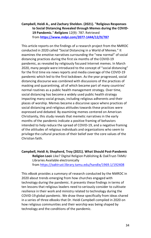**Campbell, Heidi A., and Zachary Sheldon. (2021). "Religious Responses to Social Distancing Revealed through Memes during the COVID-19 Pandemic.**" *Religions* 12(9): 787. Retrieved from **<https://www.mdpi.com/2077-1444/12/9/787>**

This article reports on the findings of a research project from the NMRDC conducted in 2020 called "Social Distancing in a World of Memes." It examines the emotive narratives surrounding the "new normal" of social distancing practices during the first six months of the COVID-19 pandemic, as revealed by religiously focused Internet memes. In March 2020, many people were introduced to the concept of "social distancing" for the first time via news reports and media coverage of the COVID-19 pandemic which led to the first lockdown. As the year progressed, social distancing discourse was combined with discussions of the practices of masking and quarantining, all of which became part of many countries' normal routines as a public health management strategy. Over time, social distancing has become a widely used public health strategy impacting many social groups, including religious adherents and their places of worship. Memes became a discursive space where practices of social distancing and religious attitudes towards these practices were expressed and debated. By examining memes centered on American Christianity, this study reveals that memetic narratives in the early months of the pandemic indicate a positive framing of behaviors intended to help reduce the spread of COVID-19, and a negative framing of the attitudes of religious individuals and organizations who seem to privilege the cultural practices of their belief over the core values of the Christian faith.

**Campbell, Heidi A; Shepherd, Troy (2021). What Should Post-Pandemic Religion Loo**k Like? Digital Religion Publishing & OakTrust-TAMU Libraries Available electronically from <https://oaktrust.library.tamu.edu/handle/1969.1/192408>

This eBook provides a summary of research conducted by the NMRDC in 2020 about trends emerging from how churches engaged with technology during the pandemic. It presents these findings in terms of ten lessons that religious leaders need to seriously consider to cultivate resilience in their work and ministry related to technology during the COVID-19 global pandemic. We draw these specifically from ideas shared in a series of three eBooks that Dr. Heidi Campbell compiled in 2020 on how religious communities and their worship was being shaped by technology and the conditions of the pandemic.